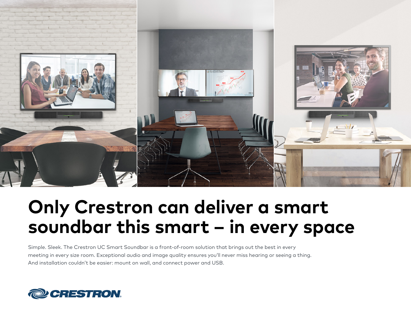

# **Only Crestron can deliver a smart soundbar this smart – in every space**

Simple. Sleek. The Crestron UC Smart Soundbar is a front-of-room solution that brings out the best in every meeting in every size room. Exceptional audio and image quality ensures you'll never miss hearing or seeing a thing. And installation couldn't be easier: mount on wall, and connect power and USB.